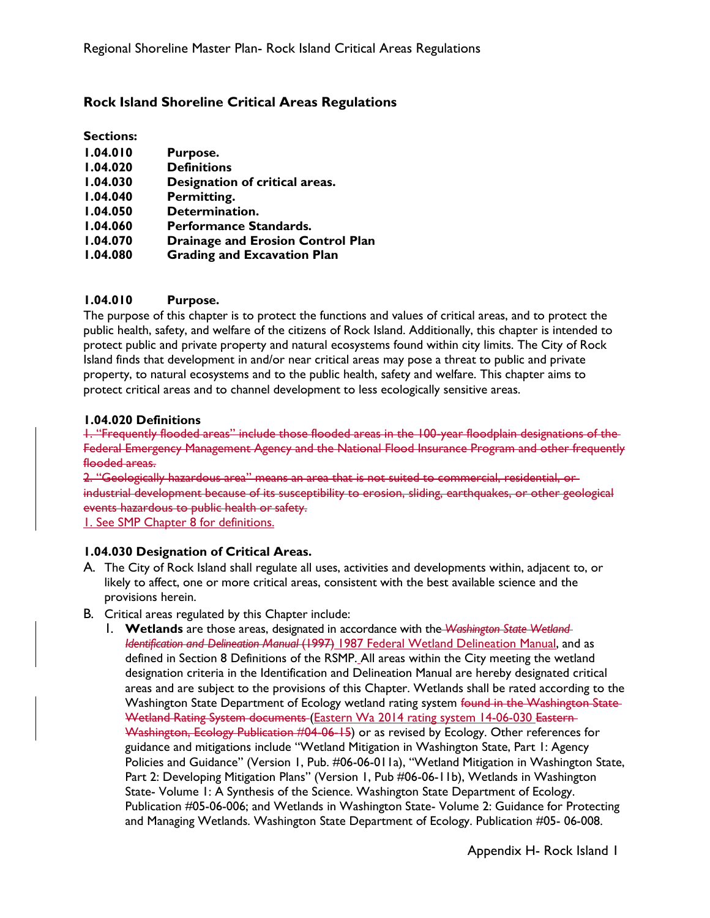# **Rock Island Shoreline Critical Areas Regulations**

**Sections:**

| 1.04.010 | Purpose.                       |
|----------|--------------------------------|
| 1.04.020 | <b>Definitions</b>             |
| 1.04.030 | Designation of critical areas. |
| 1.04.040 | Permitting.                    |

- **1.04.050 Determination.**
- **1.04.060 Performance Standards.**
- **1.04.070 Drainage and Erosion Control Plan**
- **1.04.080 Grading and Excavation Plan**

# **1.04.010 Purpose.**

The purpose of this chapter is to protect the functions and values of critical areas, and to protect the public health, safety, and welfare of the citizens of Rock Island. Additionally, this chapter is intended to protect public and private property and natural ecosystems found within city limits. The City of Rock Island finds that development in and/or near critical areas may pose a threat to public and private property, to natural ecosystems and to the public health, safety and welfare. This chapter aims to protect critical areas and to channel development to less ecologically sensitive areas.

#### **1.04.020 Definitions**

1. "Frequently flooded areas" include those flooded areas in the 100-year floodplain designations of the Federal Emergency Management Agency and the National Flood Insurance Program and other frequently flooded areas.

2. "Geologically hazardous area" means an area that is not suited to commercial, residential, or industrial development because of its susceptibility to erosion, sliding, earthquakes, or other geological events hazardous to public health or safety.

1. See SMP Chapter 8 for definitions.

# **1.04.030 Designation of Critical Areas.**

- A. The City of Rock Island shall regulate all uses, activities and developments within, adjacent to, or likely to affect, one or more critical areas, consistent with the best available science and the provisions herein.
- B. Critical areas regulated by this Chapter include:
	- 1. **Wetlands** are those areas, designated in accordance with the *Washington State Wetland Identification and Delineation Manual* (1997) 1987 Federal Wetland Delineation Manual, and as defined in Section 8 Definitions of the RSMP. All areas within the City meeting the wetland designation criteria in the Identification and Delineation Manual are hereby designated critical areas and are subject to the provisions of this Chapter. Wetlands shall be rated according to the Washington State Department of Ecology wetland rating system found in the Washington State-Wetland Rating System documents (Eastern Wa 2014 rating system 14-06-030 Eastern-Washington, Ecology Publication #04-06-15) or as revised by Ecology. Other references for guidance and mitigations include "Wetland Mitigation in Washington State, Part 1: Agency Policies and Guidance" (Version 1, Pub. #06-06-011a), "Wetland Mitigation in Washington State, Part 2: Developing Mitigation Plans" (Version 1, Pub #06-06-11b), Wetlands in Washington State- Volume 1: A Synthesis of the Science. Washington State Department of Ecology. Publication #05-06-006; and Wetlands in Washington State- Volume 2: Guidance for Protecting and Managing Wetlands. Washington State Department of Ecology. Publication #05- 06-008.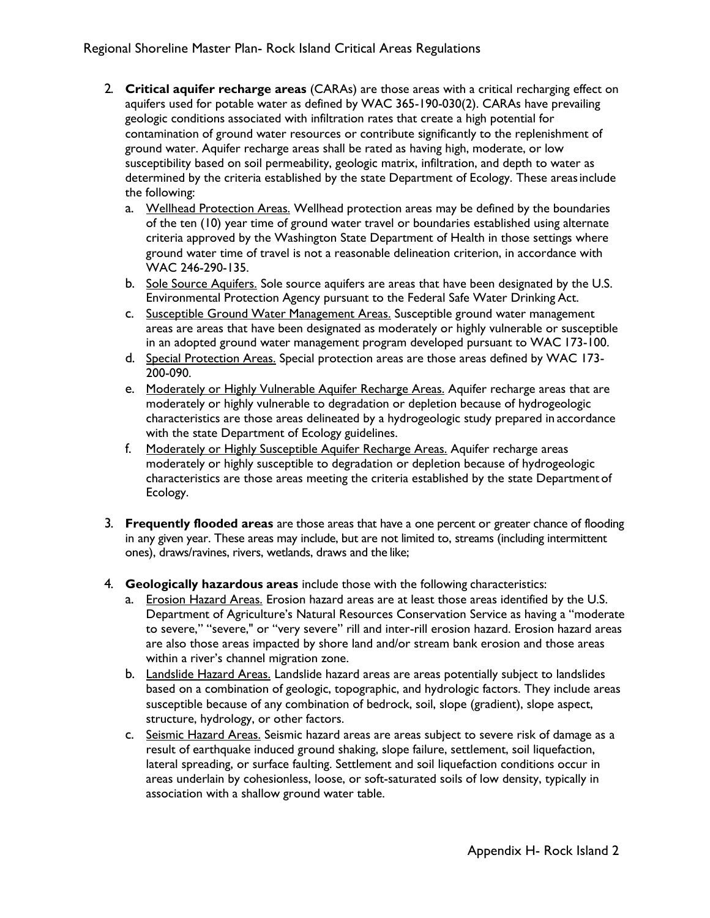- 2. **Critical aquifer recharge areas** (CARAs) are those areas with a critical recharging effect on aquifers used for potable water as defined by WAC 365-190-030(2). CARAs have prevailing geologic conditions associated with infiltration rates that create a high potential for contamination of ground water resources or contribute significantly to the replenishment of ground water. Aquifer recharge areas shall be rated as having high, moderate, or low susceptibility based on soil permeability, geologic matrix, infiltration, and depth to water as determined by the criteria established by the state Department of Ecology. These areasinclude the following:
	- a. Wellhead Protection Areas. Wellhead protection areas may be defined by the boundaries of the ten (10) year time of ground water travel or boundaries established using alternate criteria approved by the Washington State Department of Health in those settings where ground water time of travel is not a reasonable delineation criterion, in accordance with WAC 246-290-135.
	- b. Sole Source Aquifers. Sole source aquifers are areas that have been designated by the U.S. Environmental Protection Agency pursuant to the Federal Safe Water Drinking Act.
	- c. Susceptible Ground Water Management Areas. Susceptible ground water management areas are areas that have been designated as moderately or highly vulnerable or susceptible in an adopted ground water management program developed pursuant to WAC 173-100.
	- d. Special Protection Areas. Special protection areas are those areas defined by WAC 173- 200-090.
	- e. Moderately or Highly Vulnerable Aquifer Recharge Areas. Aquifer recharge areas that are moderately or highly vulnerable to degradation or depletion because of hydrogeologic characteristics are those areas delineated by a hydrogeologic study prepared in accordance with the state Department of Ecology guidelines.
	- f. Moderately or Highly Susceptible Aquifer Recharge Areas. Aquifer recharge areas moderately or highly susceptible to degradation or depletion because of hydrogeologic characteristics are those areas meeting the criteria established by the state Department of Ecology.
- 3. **Frequently flooded areas** are those areas that have a one percent or greater chance of flooding in any given year. These areas may include, but are not limited to, streams (including intermittent ones), draws/ravines, rivers, wetlands, draws and the like;
- 4. **Geologically hazardous areas** include those with the following characteristics:
	- a. Erosion Hazard Areas. Erosion hazard areas are at least those areas identified by the U.S. Department of Agriculture's Natural Resources Conservation Service as having a "moderate to severe," "severe," or "very severe" rill and inter-rill erosion hazard. Erosion hazard areas are also those areas impacted by shore land and/or stream bank erosion and those areas within a river's channel migration zone.
	- b. Landslide Hazard Areas. Landslide hazard areas are areas potentially subject to landslides based on a combination of geologic, topographic, and hydrologic factors. They include areas susceptible because of any combination of bedrock, soil, slope (gradient), slope aspect, structure, hydrology, or other factors.
	- c. Seismic Hazard Areas. Seismic hazard areas are areas subject to severe risk of damage as a result of earthquake induced ground shaking, slope failure, settlement, soil liquefaction, lateral spreading, or surface faulting. Settlement and soil liquefaction conditions occur in areas underlain by cohesionless, loose, or soft-saturated soils of low density, typically in association with a shallow ground water table.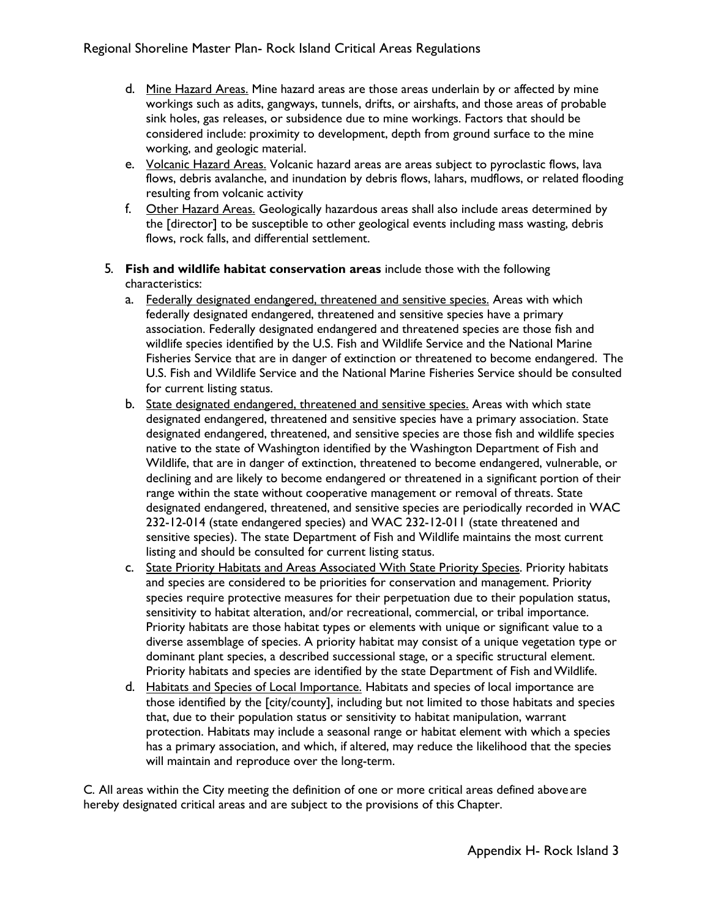- d. Mine Hazard Areas. Mine hazard areas are those areas underlain by or affected by mine workings such as adits, gangways, tunnels, drifts, or airshafts, and those areas of probable sink holes, gas releases, or subsidence due to mine workings. Factors that should be considered include: proximity to development, depth from ground surface to the mine working, and geologic material.
- e. Volcanic Hazard Areas. Volcanic hazard areas are areas subject to pyroclastic flows, lava flows, debris avalanche, and inundation by debris flows, lahars, mudflows, or related flooding resulting from volcanic activity
- f. Other Hazard Areas. Geologically hazardous areas shall also include areas determined by the [director] to be susceptible to other geological events including mass wasting, debris flows, rock falls, and differential settlement.
- 5. **Fish and wildlife habitat conservation areas** include those with the following characteristics:
	- a. Federally designated endangered, threatened and sensitive species. Areas with which federally designated endangered, threatened and sensitive species have a primary association. Federally designated endangered and threatened species are those fish and wildlife species identified by the U.S. Fish and Wildlife Service and the National Marine Fisheries Service that are in danger of extinction or threatened to become endangered. The U.S. Fish and Wildlife Service and the National Marine Fisheries Service should be consulted for current listing status.
	- b. State designated endangered, threatened and sensitive species. Areas with which state designated endangered, threatened and sensitive species have a primary association. State designated endangered, threatened, and sensitive species are those fish and wildlife species native to the state of Washington identified by the Washington Department of Fish and Wildlife, that are in danger of extinction, threatened to become endangered, vulnerable, or declining and are likely to become endangered or threatened in a significant portion of their range within the state without cooperative management or removal of threats. State designated endangered, threatened, and sensitive species are periodically recorded in WAC 232-12-014 (state endangered species) and WAC 232-12-011 (state threatened and sensitive species). The state Department of Fish and Wildlife maintains the most current listing and should be consulted for current listing status.
	- c. State Priority Habitats and Areas Associated With State Priority Species. Priority habitats and species are considered to be priorities for conservation and management. Priority species require protective measures for their perpetuation due to their population status, sensitivity to habitat alteration, and/or recreational, commercial, or tribal importance. Priority habitats are those habitat types or elements with unique or significant value to a diverse assemblage of species. A priority habitat may consist of a unique vegetation type or dominant plant species, a described successional stage, or a specific structural element. Priority habitats and species are identified by the state Department of Fish and Wildlife.
	- d. Habitats and Species of Local Importance. Habitats and species of local importance are those identified by the [city/county], including but not limited to those habitats and species that, due to their population status or sensitivity to habitat manipulation, warrant protection. Habitats may include a seasonal range or habitat element with which a species has a primary association, and which, if altered, may reduce the likelihood that the species will maintain and reproduce over the long-term.

C. All areas within the City meeting the definition of one or more critical areas defined above are hereby designated critical areas and are subject to the provisions of this Chapter.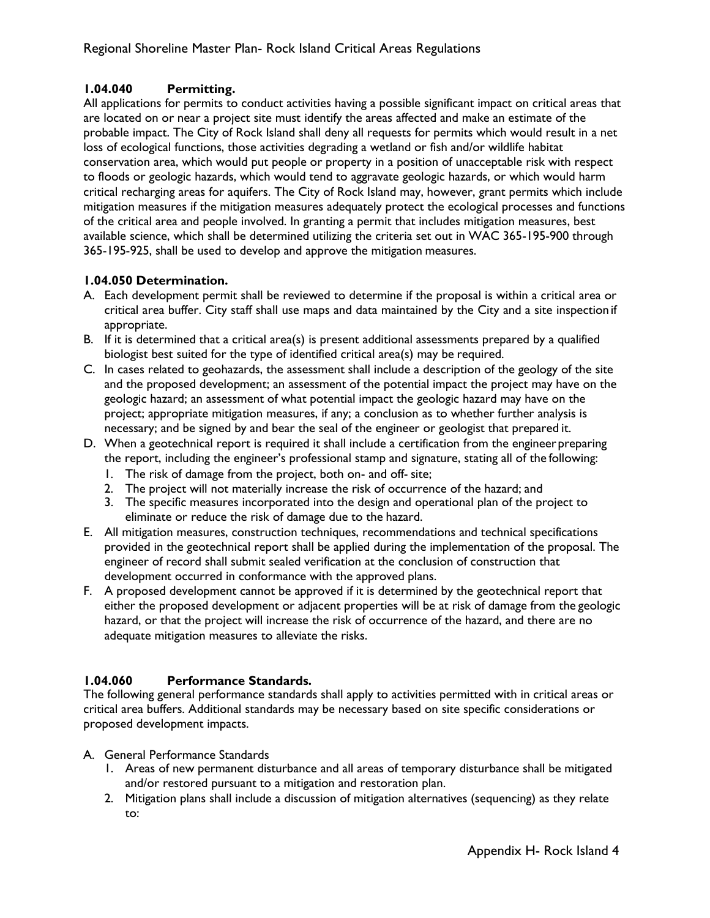# **1.04.040 Permitting.**

All applications for permits to conduct activities having a possible significant impact on critical areas that are located on or near a project site must identify the areas affected and make an estimate of the probable impact. The City of Rock Island shall deny all requests for permits which would result in a net loss of ecological functions, those activities degrading a wetland or fish and/or wildlife habitat conservation area, which would put people or property in a position of unacceptable risk with respect to floods or geologic hazards, which would tend to aggravate geologic hazards, or which would harm critical recharging areas for aquifers. The City of Rock Island may, however, grant permits which include mitigation measures if the mitigation measures adequately protect the ecological processes and functions of the critical area and people involved. In granting a permit that includes mitigation measures, best available science, which shall be determined utilizing the criteria set out in WAC 365-195-900 through 365-195-925, shall be used to develop and approve the mitigation measures.

# **1.04.050 Determination.**

- A. Each development permit shall be reviewed to determine if the proposal is within a critical area or critical area buffer. City staff shall use maps and data maintained by the City and a site inspection if appropriate.
- B. If it is determined that a critical area(s) is present additional assessments prepared by a qualified biologist best suited for the type of identified critical area(s) may be required.
- C. In cases related to geohazards, the assessment shall include a description of the geology of the site and the proposed development; an assessment of the potential impact the project may have on the geologic hazard; an assessment of what potential impact the geologic hazard may have on the project; appropriate mitigation measures, if any; a conclusion as to whether further analysis is necessary; and be signed by and bear the seal of the engineer or geologist that prepared it.
- D. When a geotechnical report is required it shall include a certification from the engineerpreparing the report, including the engineer's professional stamp and signature, stating all of the following:
	- 1. The risk of damage from the project, both on- and off- site;
	- 2. The project will not materially increase the risk of occurrence of the hazard; and
	- 3. The specific measures incorporated into the design and operational plan of the project to eliminate or reduce the risk of damage due to the hazard.
- E. All mitigation measures, construction techniques, recommendations and technical specifications provided in the geotechnical report shall be applied during the implementation of the proposal. The engineer of record shall submit sealed verification at the conclusion of construction that development occurred in conformance with the approved plans.
- F. A proposed development cannot be approved if it is determined by the geotechnical report that either the proposed development or adjacent properties will be at risk of damage from the geologic hazard, or that the project will increase the risk of occurrence of the hazard, and there are no adequate mitigation measures to alleviate the risks.

# **1.04.060 Performance Standards.**

The following general performance standards shall apply to activities permitted with in critical areas or critical area buffers. Additional standards may be necessary based on site specific considerations or proposed development impacts.

- A. General Performance Standards
	- 1. Areas of new permanent disturbance and all areas of temporary disturbance shall be mitigated and/or restored pursuant to a mitigation and restoration plan.
	- 2. Mitigation plans shall include a discussion of mitigation alternatives (sequencing) as they relate to: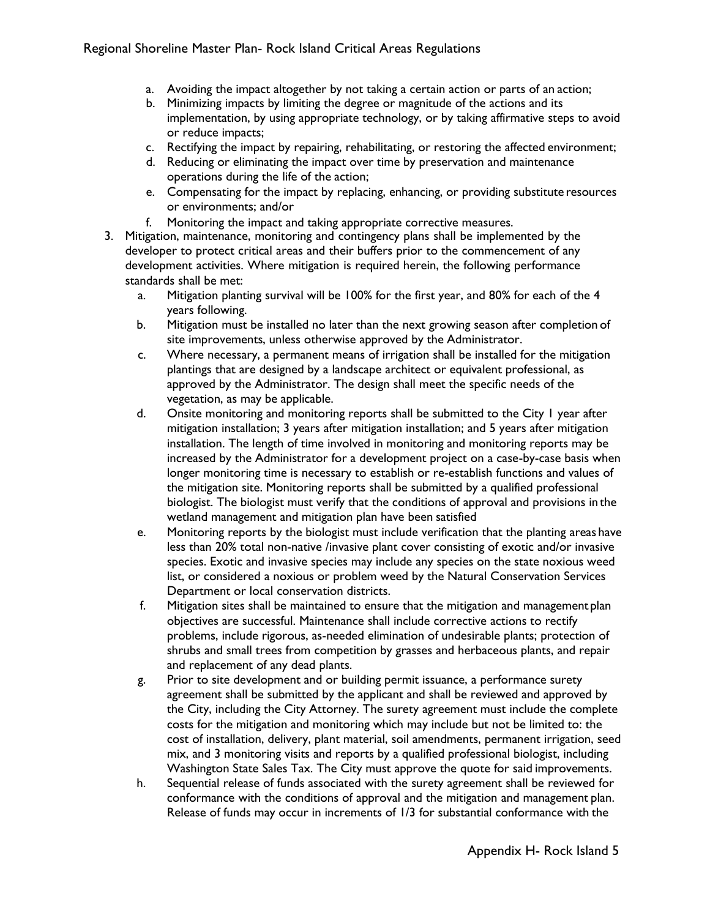- a. Avoiding the impact altogether by not taking a certain action or parts of an action;
- b. Minimizing impacts by limiting the degree or magnitude of the actions and its implementation, by using appropriate technology, or by taking affirmative steps to avoid or reduce impacts;
- c. Rectifying the impact by repairing, rehabilitating, or restoring the affected environment;
- d. Reducing or eliminating the impact over time by preservation and maintenance operations during the life of the action;
- e. Compensating for the impact by replacing, enhancing, or providing substitute resources or environments; and/or
- f. Monitoring the impact and taking appropriate corrective measures.
- 3. Mitigation, maintenance, monitoring and contingency plans shall be implemented by the developer to protect critical areas and their buffers prior to the commencement of any development activities. Where mitigation is required herein, the following performance standards shall be met:
	- a. Mitigation planting survival will be 100% for the first year, and 80% for each of the 4 years following.
	- b. Mitigation must be installed no later than the next growing season after completion of site improvements, unless otherwise approved by the Administrator.
	- c. Where necessary, a permanent means of irrigation shall be installed for the mitigation plantings that are designed by a landscape architect or equivalent professional, as approved by the Administrator. The design shall meet the specific needs of the vegetation, as may be applicable.
	- d. Onsite monitoring and monitoring reports shall be submitted to the City 1 year after mitigation installation; 3 years after mitigation installation; and 5 years after mitigation installation. The length of time involved in monitoring and monitoring reports may be increased by the Administrator for a development project on a case-by-case basis when longer monitoring time is necessary to establish or re-establish functions and values of the mitigation site. Monitoring reports shall be submitted by a qualified professional biologist. The biologist must verify that the conditions of approval and provisions in the wetland management and mitigation plan have been satisfied
	- e. Monitoring reports by the biologist must include verification that the planting areas have less than 20% total non-native /invasive plant cover consisting of exotic and/or invasive species. Exotic and invasive species may include any species on the state noxious weed list, or considered a noxious or problem weed by the Natural Conservation Services Department or local conservation districts.
	- f. Mitigation sites shall be maintained to ensure that the mitigation and management plan objectives are successful. Maintenance shall include corrective actions to rectify problems, include rigorous, as-needed elimination of undesirable plants; protection of shrubs and small trees from competition by grasses and herbaceous plants, and repair and replacement of any dead plants.
	- g. Prior to site development and or building permit issuance, a performance surety agreement shall be submitted by the applicant and shall be reviewed and approved by the City, including the City Attorney. The surety agreement must include the complete costs for the mitigation and monitoring which may include but not be limited to: the cost of installation, delivery, plant material, soil amendments, permanent irrigation, seed mix, and 3 monitoring visits and reports by a qualified professional biologist, including Washington State Sales Tax. The City must approve the quote for said improvements.
	- h. Sequential release of funds associated with the surety agreement shall be reviewed for conformance with the conditions of approval and the mitigation and management plan. Release of funds may occur in increments of 1/3 for substantial conformance with the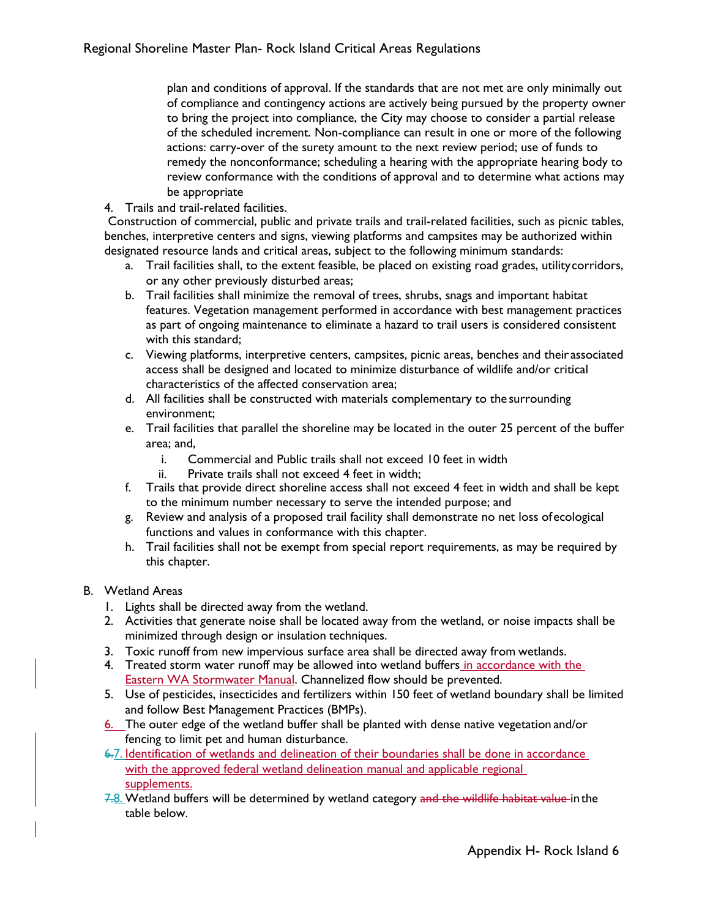plan and conditions of approval. If the standards that are not met are only minimally out of compliance and contingency actions are actively being pursued by the property owner to bring the project into compliance, the City may choose to consider a partial release of the scheduled increment. Non-compliance can result in one or more of the following actions: carry-over of the surety amount to the next review period; use of funds to remedy the nonconformance; scheduling a hearing with the appropriate hearing body to review conformance with the conditions of approval and to determine what actions may be appropriate

4. Trails and trail-related facilities.

Construction of commercial, public and private trails and trail-related facilities, such as picnic tables, benches, interpretive centers and signs, viewing platforms and campsites may be authorized within designated resource lands and critical areas, subject to the following minimum standards:

- a. Trail facilities shall, to the extent feasible, be placed on existing road grades, utilitycorridors, or any other previously disturbed areas;
- b. Trail facilities shall minimize the removal of trees, shrubs, snags and important habitat features. Vegetation management performed in accordance with best management practices as part of ongoing maintenance to eliminate a hazard to trail users is considered consistent with this standard;
- c. Viewing platforms, interpretive centers, campsites, picnic areas, benches and their associated access shall be designed and located to minimize disturbance of wildlife and/or critical characteristics of the affected conservation area;
- d. All facilities shall be constructed with materials complementary to the surrounding environment;
- e. Trail facilities that parallel the shoreline may be located in the outer 25 percent of the buffer area; and,
	- i. Commercial and Public trails shall not exceed 10 feet in width
	- ii. Private trails shall not exceed 4 feet in width;
- f. Trails that provide direct shoreline access shall not exceed 4 feet in width and shall be kept to the minimum number necessary to serve the intended purpose; and
- g. Review and analysis of a proposed trail facility shall demonstrate no net loss ofecological functions and values in conformance with this chapter.
- h. Trail facilities shall not be exempt from special report requirements, as may be required by this chapter.

#### B. Wetland Areas

- 1. Lights shall be directed away from the wetland.
- 2. Activities that generate noise shall be located away from the wetland, or noise impacts shall be minimized through design or insulation techniques.
- 3. Toxic runoff from new impervious surface area shall be directed away from wetlands.
- 4. Treated storm water runoff may be allowed into wetland buffers in accordance with the **Eastern WA Stormwater Manual. Channelized flow should be prevented.**
- 5. Use of pesticides, insecticides and fertilizers within 150 feet of wetland boundary shall be limited and follow Best Management Practices (BMPs).
- 6. The outer edge of the wetland buffer shall be planted with dense native vegetation and/or fencing to limit pet and human disturbance.
- 6.7. Identification of wetlands and delineation of their boundaries shall be done in accordance with the approved federal wetland delineation manual and applicable regional supplements.
- 7.8. Wetland buffers will be determined by wetland category and the wildlife habitat value in the table below.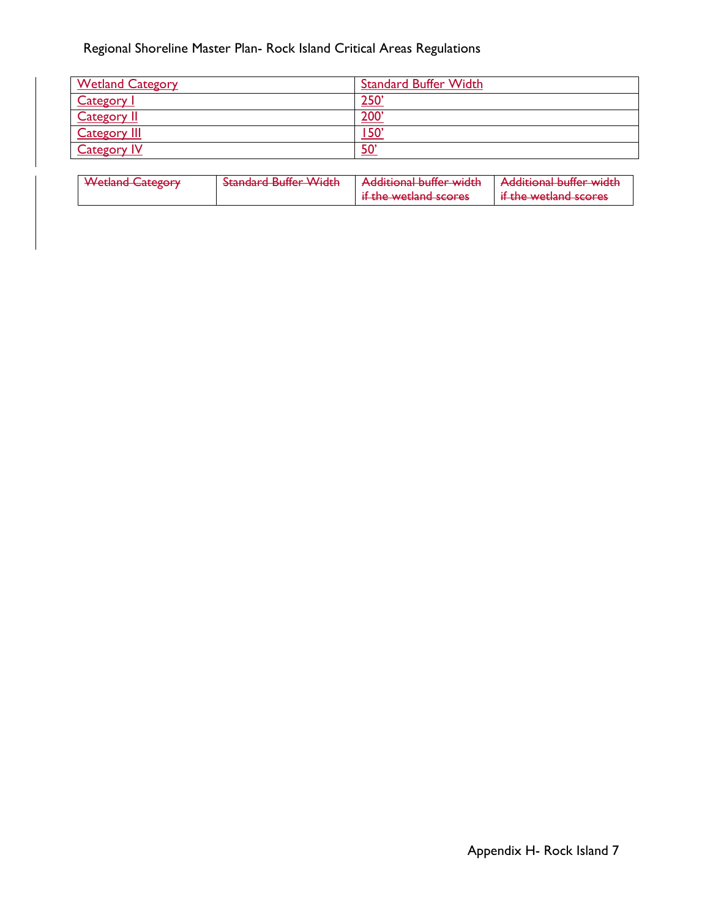# Regional Shoreline Master Plan- Rock Island Critical Areas Regulations

 $\begin{array}{c} \end{array}$ 

| <b>Wetland Category</b> | <b>Standard Buffer Width</b> |
|-------------------------|------------------------------|
| <b>Category</b>         | $250^{\circ}$                |
| <b>Category II</b>      | 200                          |
| <b>Category III</b>     | <u>150'</u>                  |
| <b>Category IV</b>      | $50^{\circ}$                 |

| <i>Motland Catogory</i>                   | Standard Buffor <i>Width</i>    | Additional buffor width                                  | Additional buffor width                                   |
|-------------------------------------------|---------------------------------|----------------------------------------------------------|-----------------------------------------------------------|
| <del><i><b>Tredand Category</b></i></del> | <del>standard bunch width</del> | <b>ACCIDENT PUBLIC METER</b>                             | <b>A REPORT OF PROPERTY AND RELEASE</b>                   |
|                                           |                                 | if the wotland scores<br><del>ii the weudid scores</del> | if the wotland scores<br><del>ii the wetiand scores</del> |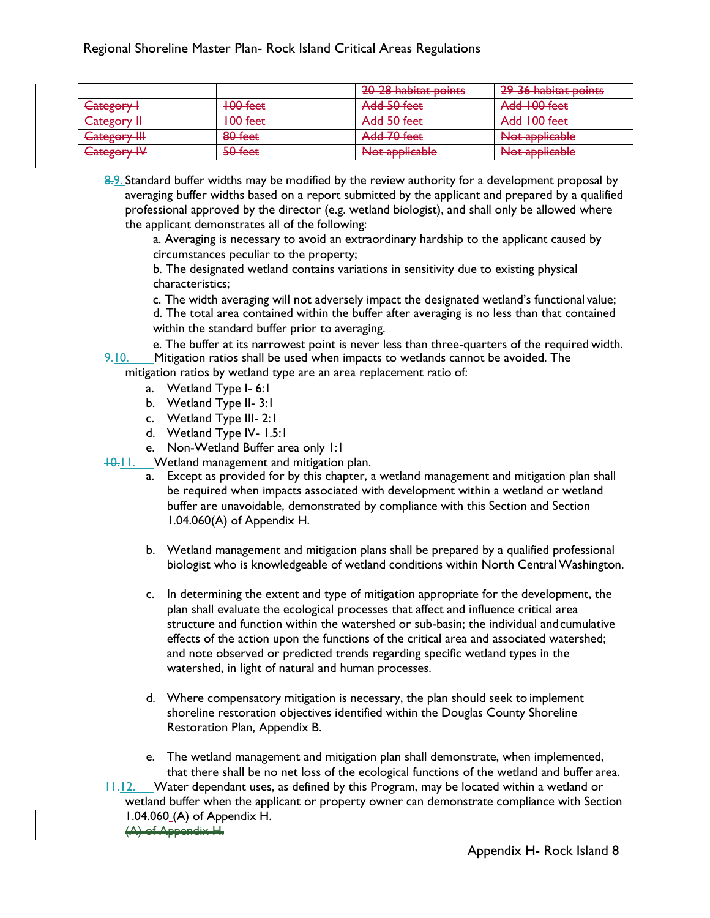|                                                                     |                                      | 20-28 habitat points                          | 29-36 habitat points                           |
|---------------------------------------------------------------------|--------------------------------------|-----------------------------------------------|------------------------------------------------|
| Category I                                                          | $100$ feet                           | Add 50 feet                                   | Add 100 feet                                   |
| Catogory II<br><del>Catcgory 11</del>                               | $100$ feet                           | Add 50 feet                                   | Add 100 feet                                   |
| $C_{\text{2}tog\alpha\alpha\gamma\lambda}$<br><del>Category m</del> | $90$ foot<br>$\overline{\text{out}}$ | Add 70 feet                                   | واطعمنامهم عملي<br><del>i vot abblicable</del> |
| <u> Munggaru</u><br><del>eategory n</del>                           | $50$ feat<br><del>JU ICCL</del>      | Nlot applicable<br><del>rvot abbiitabic</del> | Not applicable<br><del>rvot abbiitabie</del>   |

8.9. Standard buffer widths may be modified by the review authority for a development proposal by averaging buffer widths based on a report submitted by the applicant and prepared by a qualified professional approved by the director (e.g. wetland biologist), and shall only be allowed where the applicant demonstrates all of the following:

a. Averaging is necessary to avoid an extraordinary hardship to the applicant caused by circumstances peculiar to the property;

b. The designated wetland contains variations in sensitivity due to existing physical characteristics;

c. The width averaging will not adversely impact the designated wetland's functional value; d. The total area contained within the buffer after averaging is no less than that contained within the standard buffer prior to averaging.

e. The buffer at its narrowest point is never less than three-quarters of the required width.  $9-10$ . Mitigation ratios shall be used when impacts to wetlands cannot be avoided. The

mitigation ratios by wetland type are an area replacement ratio of:

- a. Wetland Type I- 6:1
- b. Wetland Type II- 3:1
- c. Wetland Type III- 2:1
- d. Wetland Type IV- 1.5:1
- e. Non-Wetland Buffer area only 1:1

10.11. Wetland management and mitigation plan.

- a. Except as provided for by this chapter, a wetland management and mitigation plan shall be required when impacts associated with development within a wetland or wetland buffer are unavoidable, demonstrated by compliance with this Section and Section 1.04.060(A) of Appendix H.
- b. Wetland management and mitigation plans shall be prepared by a qualified professional biologist who is knowledgeable of wetland conditions within North Central Washington.
- c. In determining the extent and type of mitigation appropriate for the development, the plan shall evaluate the ecological processes that affect and influence critical area structure and function within the watershed or sub-basin; the individual andcumulative effects of the action upon the functions of the critical area and associated watershed; and note observed or predicted trends regarding specific wetland types in the watershed, in light of natural and human processes.
- d. Where compensatory mitigation is necessary, the plan should seek to implement shoreline restoration objectives identified within the Douglas County Shoreline Restoration Plan, Appendix B.
- e. The wetland management and mitigation plan shall demonstrate, when implemented, that there shall be no net loss of the ecological functions of the wetland and buffer area.

 $11.12.$  Water dependant uses, as defined by this Program, may be located within a wetland or wetland buffer when the applicant or property owner can demonstrate compliance with Section 1.04.060 (A) of Appendix H. (A) of Appendix H.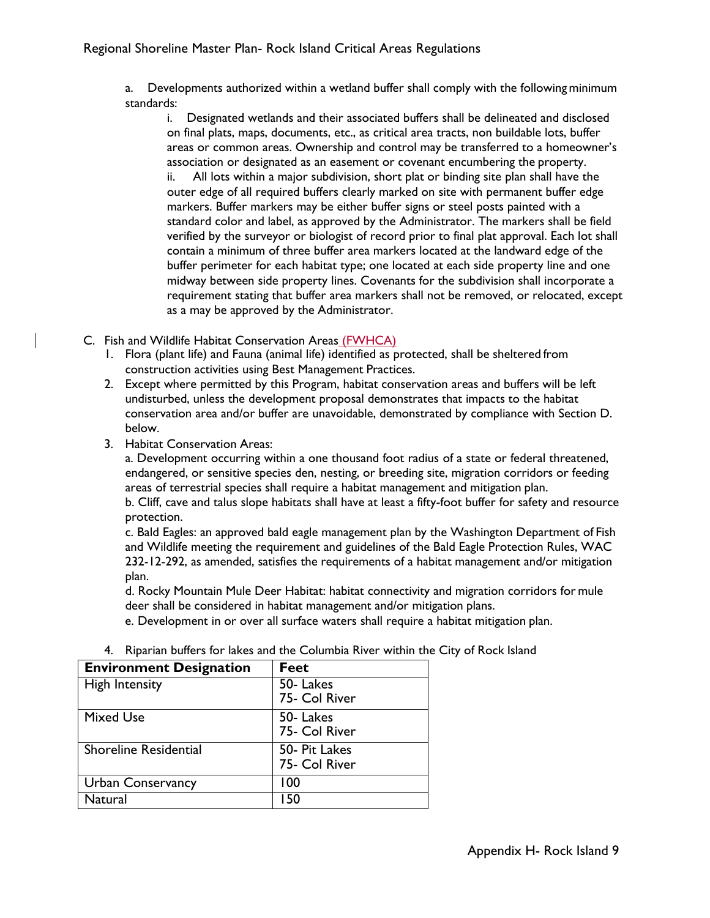a. Developments authorized within a wetland buffer shall comply with the followingminimum standards:

i. Designated wetlands and their associated buffers shall be delineated and disclosed on final plats, maps, documents, etc., as critical area tracts, non buildable lots, buffer areas or common areas. Ownership and control may be transferred to a homeowner's association or designated as an easement or covenant encumbering the property. ii. All lots within a major subdivision, short plat or binding site plan shall have the outer edge of all required buffers clearly marked on site with permanent buffer edge markers. Buffer markers may be either buffer signs or steel posts painted with a standard color and label, as approved by the Administrator. The markers shall be field verified by the surveyor or biologist of record prior to final plat approval. Each lot shall contain a minimum of three buffer area markers located at the landward edge of the buffer perimeter for each habitat type; one located at each side property line and one midway between side property lines. Covenants for the subdivision shall incorporate a requirement stating that buffer area markers shall not be removed, or relocated, except as a may be approved by the Administrator.

- C. Fish and Wildlife Habitat Conservation Areas (FWHCA)
	- 1. Flora (plant life) and Fauna (animal life) identified as protected, shall be sheltered from construction activities using Best Management Practices.
	- 2. Except where permitted by this Program, habitat conservation areas and buffers will be left undisturbed, unless the development proposal demonstrates that impacts to the habitat conservation area and/or buffer are unavoidable, demonstrated by compliance with Section D. below.
	- 3. Habitat Conservation Areas:

a. Development occurring within a one thousand foot radius of a state or federal threatened, endangered, or sensitive species den, nesting, or breeding site, migration corridors or feeding areas of terrestrial species shall require a habitat management and mitigation plan.

b. Cliff, cave and talus slope habitats shall have at least a fifty-foot buffer for safety and resource protection.

c. Bald Eagles: an approved bald eagle management plan by the Washington Department of Fish and Wildlife meeting the requirement and guidelines of the Bald Eagle Protection Rules, WAC 232-12-292, as amended, satisfies the requirements of a habitat management and/or mitigation plan.

d. Rocky Mountain Mule Deer Habitat: habitat connectivity and migration corridors for mule deer shall be considered in habitat management and/or mitigation plans.

e. Development in or over all surface waters shall require a habitat mitigation plan.

| <b>Environment Designation</b> | <b>Feet</b>                    |
|--------------------------------|--------------------------------|
| <b>High Intensity</b>          | 50-Lakes<br>75- Col River      |
| <b>Mixed Use</b>               | 50- Lakes<br>75- Col River     |
| <b>Shoreline Residential</b>   | 50- Pit Lakes<br>75- Col River |
| <b>Urban Conservancy</b>       | 100                            |
| Natural                        | I 50                           |

4. Riparian buffers for lakes and the Columbia River within the City of Rock Island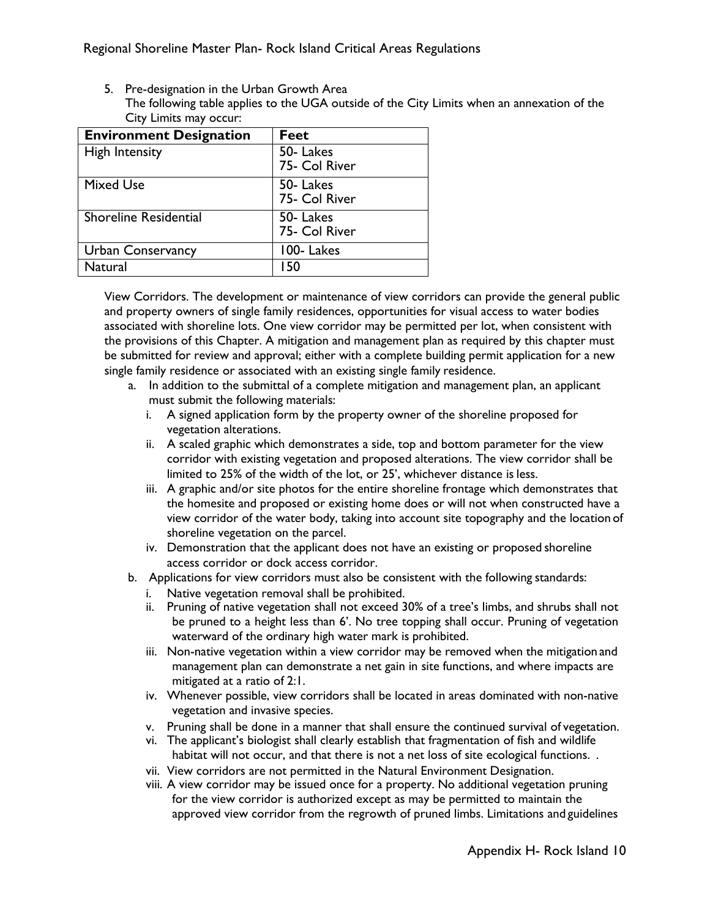5. Pre-designation in the Urban Growth Area The following table applies to the UGA outside of the City Limits when an annexation of the City Limits may occur:

| <b>Environment Designation</b> | Feet                      |
|--------------------------------|---------------------------|
| <b>High Intensity</b>          | 50-Lakes<br>75- Col River |
| <b>Mixed Use</b>               | 50-Lakes<br>75- Col River |
| <b>Shoreline Residential</b>   | 50-Lakes<br>75- Col River |
| <b>Urban Conservancy</b>       | 100-Lakes                 |
| Natural                        | l 50                      |

View Corridors. The development or maintenance of view corridors can provide the general public and property owners of single family residences, opportunities for visual access to water bodies associated with shoreline lots. One view corridor may be permitted per lot, when consistent with the provisions of this Chapter. A mitigation and management plan as required by this chapter must be submitted for review and approval; either with a complete building permit application for a new single family residence or associated with an existing single family residence.

- a. In addition to the submittal of a complete mitigation and management plan, an applicant must submit the following materials:
	- i. A signed application form by the property owner of the shoreline proposed for vegetation alterations.
	- ii. A scaled graphic which demonstrates a side, top and bottom parameter for the view corridor with existing vegetation and proposed alterations. The view corridor shall be limited to 25% of the width of the lot, or 25', whichever distance is less.
	- iii. A graphic and/or site photos for the entire shoreline frontage which demonstrates that the homesite and proposed or existing home does or will not when constructed have a view corridor of the water body, taking into account site topography and the location of shoreline vegetation on the parcel.
	- iv. Demonstration that the applicant does not have an existing or proposed shoreline access corridor or dock access corridor.
- b. Applications for view corridors must also be consistent with the following standards:
	- i. Native vegetation removal shall be prohibited.
	- ii. Pruning of native vegetation shall not exceed 30% of a tree's limbs, and shrubs shall not be pruned to a height less than 6'. No tree topping shall occur. Pruning of vegetation waterward of the ordinary high water mark is prohibited.
	- iii. Non-native vegetation within a view corridor may be removed when the mitigation and management plan can demonstrate a net gain in site functions, and where impacts are mitigated at a ratio of 2:1.
	- iv. Whenever possible, view corridors shall be located in areas dominated with non-native vegetation and invasive species.
	- v. Pruning shall be done in a manner that shall ensure the continued survival of vegetation.
	- vi. The applicant's biologist shall clearly establish that fragmentation of fish and wildlife habitat will not occur, and that there is not a net loss of site ecological functions. .
	- vii. View corridors are not permitted in the Natural Environment Designation.
	- viii. A view corridor may be issued once for a property. No additional vegetation pruning for the view corridor is authorized except as may be permitted to maintain the approved view corridor from the regrowth of pruned limbs. Limitations and guidelines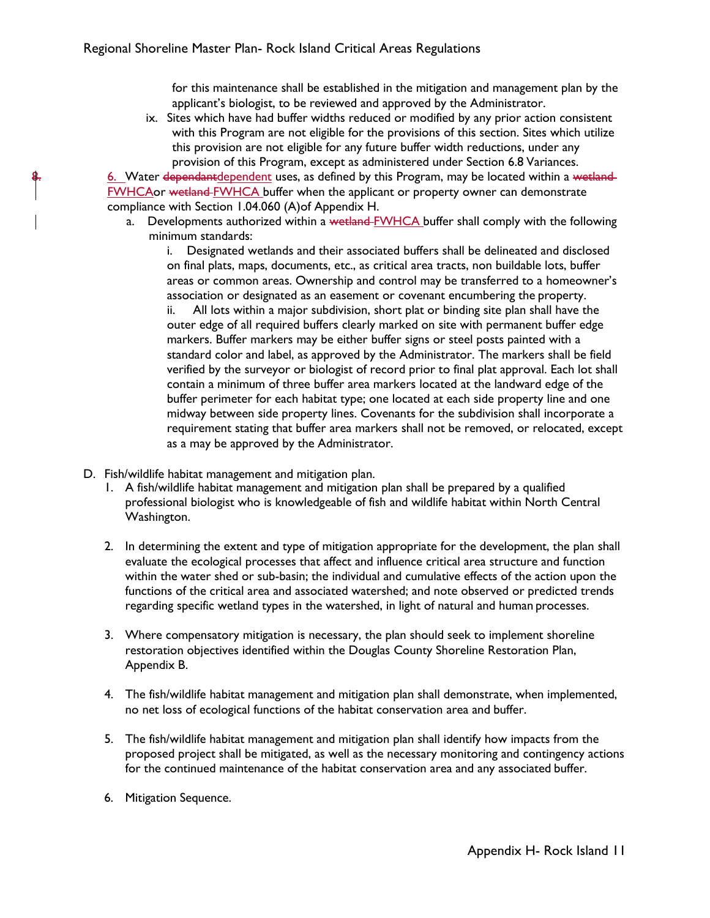for this maintenance shall be established in the mitigation and management plan by the applicant's biologist, to be reviewed and approved by the Administrator.

ix. Sites which have had buffer widths reduced or modified by any prior action consistent with this Program are not eligible for the provisions of this section. Sites which utilize this provision are not eligible for any future buffer width reductions, under any provision of this Program, except as administered under Section 6.8 Variances.

6. Water dependantdependent uses, as defined by this Program, may be located within a wetland-FWHCAor wetland FWHCA buffer when the applicant or property owner can demonstrate compliance with Section 1.04.060 (A)of Appendix H.

a. Developments authorized within a wetland-FWHCA buffer shall comply with the following minimum standards:

i. Designated wetlands and their associated buffers shall be delineated and disclosed on final plats, maps, documents, etc., as critical area tracts, non buildable lots, buffer areas or common areas. Ownership and control may be transferred to a homeowner's association or designated as an easement or covenant encumbering the property.

ii. All lots within a major subdivision, short plat or binding site plan shall have the outer edge of all required buffers clearly marked on site with permanent buffer edge markers. Buffer markers may be either buffer signs or steel posts painted with a standard color and label, as approved by the Administrator. The markers shall be field verified by the surveyor or biologist of record prior to final plat approval. Each lot shall contain a minimum of three buffer area markers located at the landward edge of the buffer perimeter for each habitat type; one located at each side property line and one midway between side property lines. Covenants for the subdivision shall incorporate a requirement stating that buffer area markers shall not be removed, or relocated, except as a may be approved by the Administrator.

- D. Fish/wildlife habitat management and mitigation plan.
	- 1. A fish/wildlife habitat management and mitigation plan shall be prepared by a qualified professional biologist who is knowledgeable of fish and wildlife habitat within North Central Washington.
	- 2. In determining the extent and type of mitigation appropriate for the development, the plan shall evaluate the ecological processes that affect and influence critical area structure and function within the water shed or sub-basin; the individual and cumulative effects of the action upon the functions of the critical area and associated watershed; and note observed or predicted trends regarding specific wetland types in the watershed, in light of natural and human processes.
	- 3. Where compensatory mitigation is necessary, the plan should seek to implement shoreline restoration objectives identified within the Douglas County Shoreline Restoration Plan, Appendix B.
	- 4. The fish/wildlife habitat management and mitigation plan shall demonstrate, when implemented, no net loss of ecological functions of the habitat conservation area and buffer.
	- 5. The fish/wildlife habitat management and mitigation plan shall identify how impacts from the proposed project shall be mitigated, as well as the necessary monitoring and contingency actions for the continued maintenance of the habitat conservation area and any associated buffer.
	- 6. Mitigation Sequence.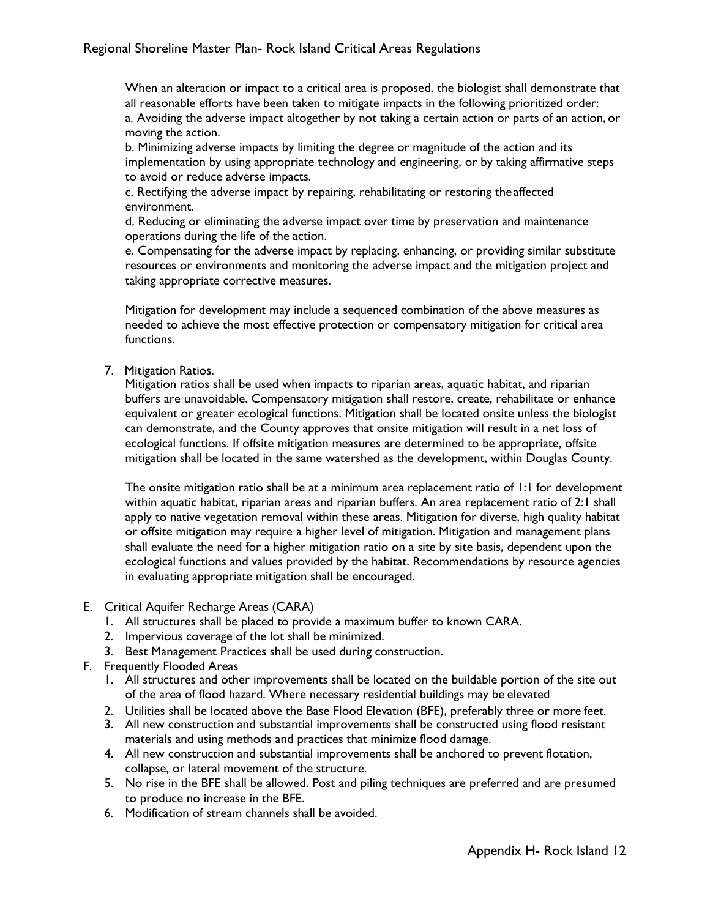When an alteration or impact to a critical area is proposed, the biologist shall demonstrate that all reasonable efforts have been taken to mitigate impacts in the following prioritized order: a. Avoiding the adverse impact altogether by not taking a certain action or parts of an action, or moving the action.

b. Minimizing adverse impacts by limiting the degree or magnitude of the action and its implementation by using appropriate technology and engineering, or by taking affirmative steps to avoid or reduce adverse impacts.

c. Rectifying the adverse impact by repairing, rehabilitating or restoring the affected environment.

d. Reducing or eliminating the adverse impact over time by preservation and maintenance operations during the life of the action.

e. Compensating for the adverse impact by replacing, enhancing, or providing similar substitute resources or environments and monitoring the adverse impact and the mitigation project and taking appropriate corrective measures.

Mitigation for development may include a sequenced combination of the above measures as needed to achieve the most effective protection or compensatory mitigation for critical area functions.

7. Mitigation Ratios.

Mitigation ratios shall be used when impacts to riparian areas, aquatic habitat, and riparian buffers are unavoidable. Compensatory mitigation shall restore, create, rehabilitate or enhance equivalent or greater ecological functions. Mitigation shall be located onsite unless the biologist can demonstrate, and the County approves that onsite mitigation will result in a net loss of ecological functions. If offsite mitigation measures are determined to be appropriate, offsite mitigation shall be located in the same watershed as the development, within Douglas County.

The onsite mitigation ratio shall be at a minimum area replacement ratio of 1:1 for development within aquatic habitat, riparian areas and riparian buffers. An area replacement ratio of 2:1 shall apply to native vegetation removal within these areas. Mitigation for diverse, high quality habitat or offsite mitigation may require a higher level of mitigation. Mitigation and management plans shall evaluate the need for a higher mitigation ratio on a site by site basis, dependent upon the ecological functions and values provided by the habitat. Recommendations by resource agencies in evaluating appropriate mitigation shall be encouraged.

- E. Critical Aquifer Recharge Areas (CARA)
	- 1. All structures shall be placed to provide a maximum buffer to known CARA.
	- 2. Impervious coverage of the lot shall be minimized.
	- 3. Best Management Practices shall be used during construction.
- F. Frequently Flooded Areas
	- 1. All structures and other improvements shall be located on the buildable portion of the site out of the area of flood hazard. Where necessary residential buildings may be elevated
	- 2. Utilities shall be located above the Base Flood Elevation (BFE), preferably three or more feet.
	- 3. All new construction and substantial improvements shall be constructed using flood resistant materials and using methods and practices that minimize flood damage.
	- 4. All new construction and substantial improvements shall be anchored to prevent flotation, collapse, or lateral movement of the structure.
	- 5. No rise in the BFE shall be allowed. Post and piling techniques are preferred and are presumed to produce no increase in the BFE.
	- 6. Modification of stream channels shall be avoided.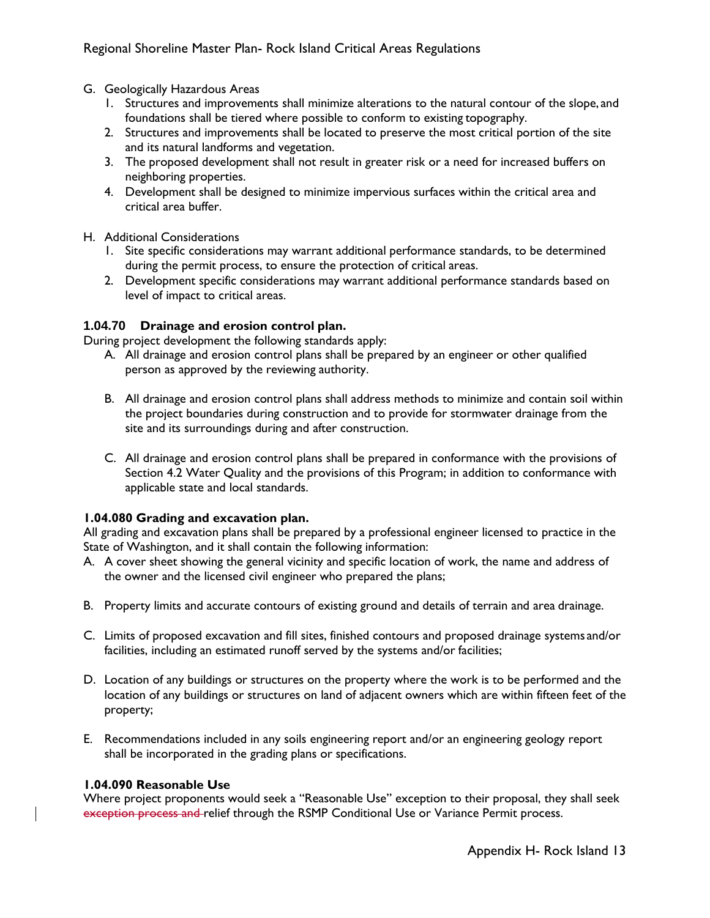- G. Geologically Hazardous Areas
	- 1. Structures and improvements shall minimize alterations to the natural contour of the slope, and foundations shall be tiered where possible to conform to existing topography.
	- 2. Structures and improvements shall be located to preserve the most critical portion of the site and its natural landforms and vegetation.
	- 3. The proposed development shall not result in greater risk or a need for increased buffers on neighboring properties.
	- 4. Development shall be designed to minimize impervious surfaces within the critical area and critical area buffer.
- H. Additional Considerations
	- 1. Site specific considerations may warrant additional performance standards, to be determined during the permit process, to ensure the protection of critical areas.
	- 2. Development specific considerations may warrant additional performance standards based on level of impact to critical areas.

# **1.04.70 Drainage and erosion control plan.**

During project development the following standards apply:

- A. All drainage and erosion control plans shall be prepared by an engineer or other qualified person as approved by the reviewing authority.
- B. All drainage and erosion control plans shall address methods to minimize and contain soil within the project boundaries during construction and to provide for stormwater drainage from the site and its surroundings during and after construction.
- C. All drainage and erosion control plans shall be prepared in conformance with the provisions of Section 4.2 Water Quality and the provisions of this Program; in addition to conformance with applicable state and local standards.

# **1.04.080 Grading and excavation plan.**

All grading and excavation plans shall be prepared by a professional engineer licensed to practice in the State of Washington, and it shall contain the following information:

- A. A cover sheet showing the general vicinity and specific location of work, the name and address of the owner and the licensed civil engineer who prepared the plans;
- B. Property limits and accurate contours of existing ground and details of terrain and area drainage.
- C. Limits of proposed excavation and fill sites, finished contours and proposed drainage systems and/or facilities, including an estimated runoff served by the systems and/or facilities;
- D. Location of any buildings or structures on the property where the work is to be performed and the location of any buildings or structures on land of adjacent owners which are within fifteen feet of the property;
- E. Recommendations included in any soils engineering report and/or an engineering geology report shall be incorporated in the grading plans or specifications.

# **1.04.090 Reasonable Use**

Where project proponents would seek a "Reasonable Use" exception to their proposal, they shall seek exception process and relief through the RSMP Conditional Use or Variance Permit process.